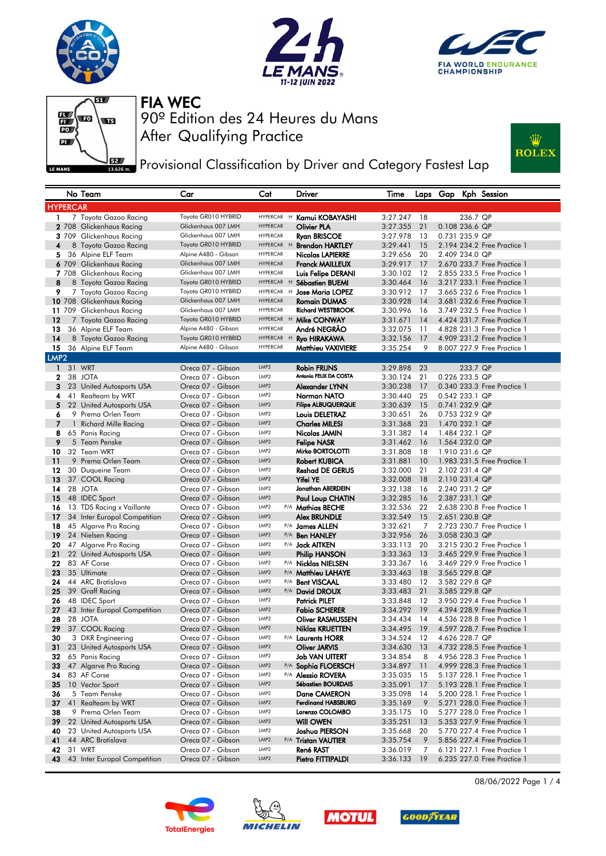







**PEPT** Provisional Classification by Driver and Category Fastest Lap



|                                                                                                                                          |              | No Team                                     | Car                                         | Cat                           |   | Driver                                          | Time                 |          | Laps Gap       |          | Kph Session                                                |
|------------------------------------------------------------------------------------------------------------------------------------------|--------------|---------------------------------------------|---------------------------------------------|-------------------------------|---|-------------------------------------------------|----------------------|----------|----------------|----------|------------------------------------------------------------|
| <b>HYPERCAR</b>                                                                                                                          |              |                                             |                                             |                               |   |                                                 |                      |          |                |          |                                                            |
| 1.                                                                                                                                       |              | 7 Toyota Gazoo Racing                       | Toyota GR010 HYBRID                         | <b>HYPERCAR</b>               | H | Kamui KOBAYASHI                                 | 3:27.247             | 18       |                | 236.7 QP |                                                            |
|                                                                                                                                          |              | 2 708 Glickenhaus Racing                    | Glickenhaus 007 LMH                         | <b>HYPERCAR</b>               |   | <b>Olivier PLA</b>                              | 3:27.355             | 21       | 0.108 236.6 QP |          |                                                            |
|                                                                                                                                          |              | 3 709 Glickenhaus Racing                    | Glickenhaus 007 LMH                         | <b>HYPERCAR</b>               |   | <b>Ryan BRISCOE</b>                             | 3:27.978             | 13       | 0.731 235.9 QP |          |                                                            |
| 4                                                                                                                                        |              | 8 Toyota Gazoo Racing                       | Toyota GR010 HYBRID                         | HYPERCAR H                    |   | <b>Brendon HARTLEY</b>                          | 3:29.441             | 15       |                |          | 2.194 234.2 Free Practice 1                                |
| 5                                                                                                                                        |              | 36 Alpine ELF Team                          | Alpine A480 - Gibson                        | <b>HYPERCAR</b>               |   | <b>Nicolas LAPIERRE</b>                         | 3:29.656             | 20       | 2.409 234.0 QP |          |                                                            |
|                                                                                                                                          |              | 6 709 Glickenhaus Racing                    | Glickenhaus 007 LMH                         | <b>HYPERCAR</b>               |   | <b>Franck MAILLEUX</b>                          | 3:29.917             | 17       |                |          | 2.670 233.7 Free Practice 1                                |
|                                                                                                                                          |              | 7 708 Glickenhaus Racing                    | Glickenhaus 007 LMH                         | <b>HYPERCAR</b>               |   | Luis Felipe DERANI                              | 3:30.102             | 12       |                |          | 2,855 233,5 Free Practice 1                                |
| 8                                                                                                                                        |              | 8 Toyota Gazoo Racing                       | Toyota GR010 HYBRID                         | HYPERCAR H                    |   | Sébastien BUEMI                                 | 3:30.464             | 16       |                |          | 3.217 233.1 Free Practice 1                                |
| 9                                                                                                                                        |              | 7 Toyota Gazoo Racing                       | Toyota GR010 HYBRID                         | HYPERCAR H                    |   | <b>Jose Maria LOPEZ</b>                         | 3:30.912             | 17       |                |          | 3.665 232.6 Free Practice 1                                |
|                                                                                                                                          |              | 10 708 Glickenhaus Racing                   | Glickenhaus 007 LMH                         | <b>HYPERCAR</b>               |   | <b>Romain DUMAS</b>                             | 3:30.928             | 14       |                |          | 3.681 232.6 Free Practice 1                                |
|                                                                                                                                          |              | 11 709 Glickenhaus Racing                   | Glickenhaus 007 LMH                         | <b>HYPERCAR</b>               |   | <b>Richard WESTBROOK</b>                        | 3:30.996             | 16       |                |          | 3.749 232.5 Free Practice 1                                |
| 12                                                                                                                                       |              | 7 Toyota Gazoo Racing                       | Toyota GR010 HYBRID                         | HYPERCAR H                    |   | Mike CONWAY                                     | 3:31.671             | 14       |                |          | 4.424 231.7 Free Practice 1                                |
| 13<br>14                                                                                                                                 |              | 36 Alpine ELF Team                          | Alpine A480 - Gibson<br>Toyota GR010 HYBRID | <b>HYPERCAR</b><br>HYPERCAR H |   | André NEGRAO                                    | 3:32.075             | 11       |                |          | 4.828 231.3 Free Practice 1                                |
| 15                                                                                                                                       |              | 8 Toyota Gazoo Racing<br>36 Alpine ELF Team | Alpine A480 - Gibson                        | <b>HYPERCAR</b>               |   | <b>Ryo HIRAKAWA</b>                             | 3:32.156<br>3:35.254 | 17<br>9  |                |          | 4.909 231.2 Free Practice 1<br>8,007 227,9 Free Practice 1 |
|                                                                                                                                          |              |                                             |                                             |                               |   | Matthieu VAXIVIERE                              |                      |          |                |          |                                                            |
| LMP <sub>2</sub><br>31 WRT<br>$\mathbf{1}$<br>LMP <sub>2</sub><br><b>Robin FRIJNS</b><br>Oreca 07 - Gibson<br>3:29.898<br>23<br>233.7 QP |              |                                             |                                             |                               |   |                                                 |                      |          |                |          |                                                            |
| 2                                                                                                                                        |              | 38 JOTA                                     | Oreca 07 - Gibson                           | LMP <sub>2</sub>              |   | Antonio FELIX DA COSTA                          | 3:30.124             | 21       | 0.226 233.5 QP |          |                                                            |
| 3                                                                                                                                        |              | 23 United Autosports USA                    | Oreca 07 - Gibson                           | LMP <sub>2</sub>              |   | Alexander LYNN                                  | 3:30.238             | 17       |                |          | 0.340 233.3 Free Practice 1                                |
| 4                                                                                                                                        |              | 41 Realteam by WRT                          | Oreca 07 - Gibson                           | LMP <sub>2</sub>              |   | Norman NATO                                     | 3:30.440             | 25       | 0.542 233.1 QP |          |                                                            |
| 5                                                                                                                                        |              | 22 United Autosports USA                    | Oreca 07 - Gibson                           | LMP <sub>2</sub>              |   | <b>Filipe ALBUQUERQUE</b>                       | 3:30.639             | 15       | 0.741 232.9 QP |          |                                                            |
| 6                                                                                                                                        |              | 9 Prema Orlen Team                          | Oreca 07 - Gibson                           | LMP <sub>2</sub>              |   | <b>Louis DELETRAZ</b>                           | 3:30.651             | 26       | 0.753 232.9 QP |          |                                                            |
| $\overline{7}$                                                                                                                           | $\mathbf{1}$ | <b>Richard Mille Racing</b>                 | Oreca 07 - Gibson                           | LMP <sub>2</sub>              |   | <b>Charles MILESI</b>                           | 3:31.368             | 23       | 1.470 232.1 QP |          |                                                            |
| 8                                                                                                                                        |              | 65 Panis Racing                             | Oreca 07 - Gibson                           | LMP2                          |   | Nicolas JAMIN                                   | 3:31.382             | 14       | 1.484 232.1 QP |          |                                                            |
| 9                                                                                                                                        |              | 5 Team Penske                               | Oreca 07 - Gibson                           | LMP <sub>2</sub>              |   | <b>Felipe NASR</b>                              | 3:31.462             | 16       | 1.564 232.0 QP |          |                                                            |
| 10                                                                                                                                       |              | 32 Team WRT                                 | Oreca 07 - Gibson                           | LMP <sub>2</sub>              |   | Mirko BORTOLOTTI                                | 3:31.808             | 18       | 1.910 231.6 QP |          |                                                            |
| 11                                                                                                                                       |              | 9 Prema Orlen Team                          | Oreca 07 - Gibson                           | LMP2                          |   | <b>Robert KUBICA</b>                            | 3:31.881             | 10       |                |          | 1.983 231.5 Free Practice 1                                |
| 12                                                                                                                                       |              | 30 Duqueine Team                            | Oreca 07 - Gibson                           | LMP <sub>2</sub>              |   | <b>Reshad DE GERUS</b>                          | 3:32.000             | 21       | 2.102 231.4 QP |          |                                                            |
| 13                                                                                                                                       |              | 37 COOL Racing                              | Oreca 07 - Gibson                           | LMP <sub>2</sub>              |   | Yifei YE                                        | 3:32.008             | 18       | 2.110 231.4 QP |          |                                                            |
| 14                                                                                                                                       |              | 28 JOTA                                     | Oreca 07 - Gibson                           | LMP <sub>2</sub>              |   | Jonathan ABERDEIN                               | 3:32.138             | 16       | 2.240 231.2 QP |          |                                                            |
| 15                                                                                                                                       |              | 48 IDEC Sport                               | Oreca 07 - Gibson                           | LMP <sub>2</sub>              |   | Paul Loup CHATIN                                | 3:32.285             | 16       | 2.387 231.1 QP |          |                                                            |
| 16                                                                                                                                       |              | 13 TDS Racing x Vaillante                   | Oreca 07 - Gibson                           | LMP2                          |   | P/A Mathias BECHE                               | 3:32.536             | 22       |                |          | 2.638 230.8 Free Practice 1                                |
| 17                                                                                                                                       |              | 34 Inter Europol Competition                | Oreca 07 - Gibson                           | LMP2<br>LMP2                  |   | <b>Alex BRUNDLE</b>                             | 3:32.549             | 15       | 2.651 230.8 QP |          |                                                            |
| 18<br>19                                                                                                                                 |              | 45 Algarve Pro Racing                       | Oreca 07 - Gibson<br>Oreca 07 - Gibson      | LMP <sub>2</sub>              |   | P/A James ALLEN                                 | 3:32.621<br>3:32.956 | 7<br>26  | 3.058 230.3 QP |          | 2.723 230.7 Free Practice 1                                |
| 20                                                                                                                                       |              | 24 Nielsen Racing<br>47 Algarve Pro Racing  | Oreca 07 - Gibson                           | LMP2                          |   | P/A <b>Ben HANLEY</b><br>P/A <b>Jack AITKEN</b> | 3:33.113             | 20       |                |          | 3.215 230.2 Free Practice 1                                |
| 21                                                                                                                                       |              | 22 United Autosports USA                    | Oreca 07 - Gibson                           | LMP2                          |   | <b>Philip HANSON</b>                            | 3:33.363             | 13       |                |          | 3.465 229.9 Free Practice 1                                |
| 22                                                                                                                                       |              | 83 AF Corse                                 | Oreca 07 - Gibson                           | LMP <sub>2</sub>              |   | P/A Nicklas NIELSEN                             | 3:33.367             | 16       |                |          | 3.469 229.9 Free Practice 1                                |
| 23                                                                                                                                       |              | 35 Ultimate                                 | Oreca 07 - Gibson                           | LMP <sub>2</sub>              |   | P/A Matthieu LAHAYE                             | 3:33.463             | 18       | 3.565 229.8 QP |          |                                                            |
| 24                                                                                                                                       |              | 44 ARC Bratislava                           | Oreca 07 - Gibson                           | LMP <sub>2</sub>              |   | P/A Bent VISCAAL                                | 3:33.480             | 12       | 3.582 229.8 QP |          |                                                            |
| 25                                                                                                                                       |              | 39 Graff Racing                             | Oreca 07 - Gibson                           | LMP <sub>2</sub>              |   | P/A David DROUX                                 | 3:33.483             | 21       | 3.585 229.8 QP |          |                                                            |
| 26                                                                                                                                       |              | 48 IDEC Sport                               | Oreca 07 - Gibson                           | LMP <sub>2</sub>              |   | <b>Patrick PILET</b>                            | 3:33.848             | 12       |                |          | 3.950 229.4 Free Practice 1                                |
| 27                                                                                                                                       |              | 43 Inter Europol Competition                | Oreca 07 - Gibson                           | LMP <sub>2</sub>              |   | <b>Fabio SCHERER</b>                            | 3:34.292             | 19       |                |          | 4.394 228.9 Free Practice 1                                |
| 28                                                                                                                                       |              | 28 JOTA                                     | Oreca 07 - Gibson                           | LMP2                          |   | <b>Oliver RASMUSSEN</b>                         | 3:34.434             | 14       |                |          | 4.536 228.8 Free Practice 1                                |
| 29                                                                                                                                       |              | 37 COOL Racing                              | Oreca 07 - Gibson                           | LMP <sub>2</sub>              |   | <b>Niklas KRUETTEN</b>                          | 3:34.495             | 19       |                |          | 4.597 228.7 Free Practice 1                                |
| 30                                                                                                                                       |              | 3 DKR Engineering                           | Oreca 07 - Gibson                           | LMP2                          |   | P/A Laurents HORR                               | 3:34.524             | 12       | 4.626 228.7 QP |          |                                                            |
| 31                                                                                                                                       |              | 23 United Autosports USA                    | Oreca 07 - Gibson                           | LMP2                          |   | Oliver JARVIS                                   | 3:34.630             | - 13     |                |          | 4.732 228.5 Free Practice 1                                |
| 32                                                                                                                                       |              | 65 Panis Racing                             | Oreca 07 - Gibson                           | LMP <sub>2</sub>              |   | Job VAN UITERT                                  | 3:34.854             | 8        |                |          | 4.956 228.3 Free Practice 1                                |
| 33                                                                                                                                       |              | 47 Algarve Pro Racing                       | Oreca 07 - Gibson                           | LMP2                          |   | P/A Sophia FLOERSCH                             | 3:34.897             | 11       |                |          | 4.999 228.3 Free Practice 1                                |
| 34                                                                                                                                       |              | 83 AF Corse                                 | Oreca 07 - Gibson                           | LMP <sub>2</sub>              |   | P/A Alessio ROVERA                              | 3:35.035             | 15       |                |          | 5.137 228.1 Free Practice 1                                |
| 35                                                                                                                                       |              | 10 Vector Sport                             | Oreca 07 - Gibson<br>Oreca 07 - Gibson      | LMP2<br>LMP2                  |   | <b>Sébastien BOURDAIS</b>                       | 3:35.091             | 17       |                |          | 5.193 228.1 Free Practice 1                                |
| 36<br>37                                                                                                                                 |              | 5 Team Penske<br>41 Realteam by WRT         | Oreca 07 - Gibson                           | LMP2                          |   | Dane CAMERON<br><b>Ferdinand HABSBURG</b>       | 3:35.098<br>3:35.169 | 14<br>9  |                |          | 5.200 228.1 Free Practice 1<br>5.271 228.0 Free Practice 1 |
| 38                                                                                                                                       |              | 9 Prema Orlen Team                          | Oreca 07 - Gibson                           | LMP2                          |   | Lorenzo COLOMBO                                 | 3:35.175             |          |                |          | 5.277 228.0 Free Practice 1                                |
| 39                                                                                                                                       |              | 22 United Autosports USA                    | Oreca 07 - Gibson                           | LMP2                          |   | <b>Will OWEN</b>                                | 3:35.251             | 10<br>13 |                |          | 5.353 227.9 Free Practice 1                                |
| 40                                                                                                                                       |              | 23 United Autosports USA                    | Oreca 07 - Gibson                           | LMP <sub>2</sub>              |   | Joshua PIERSON                                  | 3:35.668             | 20       |                |          | 5.770 227.4 Free Practice 1                                |
| 41                                                                                                                                       |              | 44 ARC Bratislava                           | Oreca 07 - Gibson                           | LMP2                          |   | P/A Tristan VAUTIER                             | 3:35.754             | 9        |                |          | 5.856 227.4 Free Practice 1                                |
| 42                                                                                                                                       |              | 31 WRT                                      | Oreca 07 - Gibson                           | LMP2                          |   | René RAST                                       | 3:36.019             | 7        |                |          | 6.121 227.1 Free Practice 1                                |
| 43                                                                                                                                       |              | 43 Inter Europol Competition                | Oreca 07 - Gibson                           | LMP <sub>2</sub>              |   | Pietro FITTIPALDI                               | 3:36.133             | 19       |                |          | 6.235 227.0 Free Practice 1                                |
|                                                                                                                                          |              |                                             |                                             |                               |   |                                                 |                      |          |                |          |                                                            |









08/06/2022 Page 1 / 4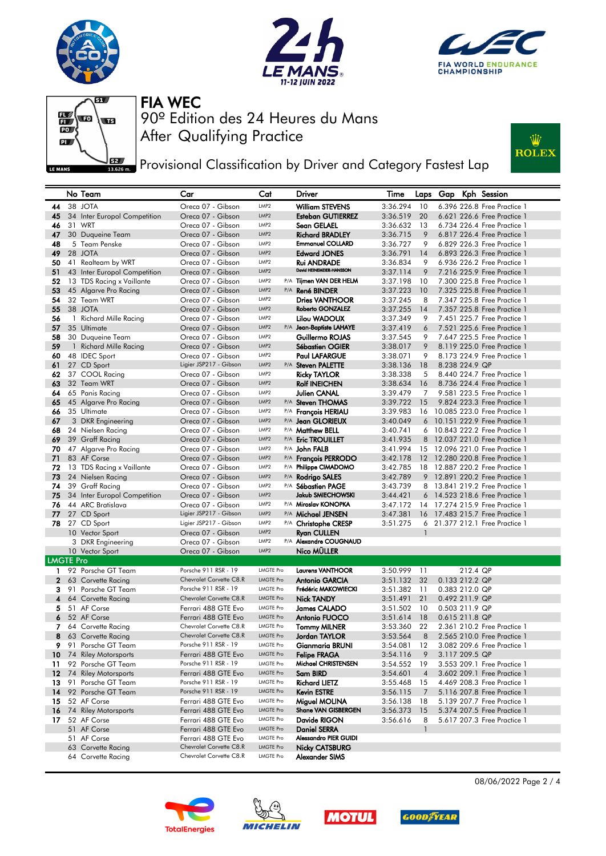







**PEPT** Provisional Classification by Driver and Category Fastest Lap



|                  | No Team                              | Car                                    | Cat                      | <b>Driver</b>                                | Time     |                | Laps Gap       |          | Kph Session                     |
|------------------|--------------------------------------|----------------------------------------|--------------------------|----------------------------------------------|----------|----------------|----------------|----------|---------------------------------|
| 44               | 38 JOTA                              | Oreca 07 - Gibson                      | LMP2                     | <b>William STEVENS</b>                       | 3:36.294 | 10             |                |          | 6.396 226.8 Free Practice 1     |
| 45               | 34 Inter Europol Competition         | Oreca 07 - Gibson                      | LMP <sub>2</sub>         | <b>Esteban GUTIERREZ</b>                     | 3:36.519 | 20             |                |          | 6.621 226.6 Free Practice 1     |
| 46               | 31 WRT                               | Oreca 07 - Gibson                      | LMP2                     | Sean GELAEL                                  | 3:36.632 | 13             |                |          | 6.734 226.4 Free Practice 1     |
| 47               | 30 Duqueine Team                     | Oreca 07 - Gibson                      | LMP <sub>2</sub>         | <b>Richard BRADLEY</b>                       | 3:36.715 | 9              |                |          | 6.817 226.4 Free Practice 1     |
| 48               | 5 Team Penske                        | Oreca 07 - Gibson                      | LMP2                     | <b>Emmanuel COLLARD</b>                      | 3:36.727 | 9              |                |          | 6.829 226.3 Free Practice 1     |
| 49               | 28 JOTA                              | Oreca 07 - Gibson                      | LMP2                     | <b>Edward JONES</b>                          | 3:36.791 | 14             |                |          | 6.893 226.3 Free Practice 1     |
| 50               | 41 Realteam by WRT                   | Oreca 07 - Gibson                      | LMP2                     | <b>Rui ANDRADE</b>                           | 3:36.834 | 9              |                |          | 6.936 226.2 Free Practice 1     |
| 51               | 43 Inter Europol Competition         | Oreca 07 - Gibson                      | LMP2                     | David HEINEMEIER-HANSSON                     | 3:37.114 | 9              |                |          | 7.216 225.9 Free Practice 1     |
| 52               | 13 TDS Racing x Vaillante            | Oreca 07 - Gibson                      | LMP <sub>2</sub>         | P/A Tijmen VAN DER HELM                      | 3:37.198 | 10             |                |          | 7,300 225.8 Free Practice 1     |
| 53               | 45 Algarve Pro Racing                | Oreca 07 - Gibson                      | LMP <sub>2</sub>         | P/A René BINDER                              | 3:37.223 | 10             |                |          | 7.325 225.8 Free Practice 1     |
| 54               | 32 Team WRT                          | Oreca 07 - Gibson                      | LMP <sub>2</sub>         | <b>Dries VANTHOOR</b>                        | 3:37.245 | 8              |                |          | 7.347 225.8 Free Practice 1     |
| 55               | 38 JOTA                              | Oreca 07 - Gibson                      | LMP2                     | Roberto GONZALEZ                             | 3:37.255 | 14             |                |          | 7.357 225.8 Free Practice 1     |
| 56               | 1 Richard Mille Racing               | Oreca 07 - Gibson                      | LMP <sub>2</sub>         | Lilou WADOUX                                 | 3:37.349 | 9              |                |          | 7.451 225.7 Free Practice 1     |
| 57               | 35 Ultimate                          | Oreca 07 - Gibson                      | LMP2                     | P/A Jean-Baptiste LAHAYE                     | 3:37.419 | 6              |                |          | 7.521 225.6 Free Practice 1     |
| 58               | 30 Duqueine Team                     | Oreca 07 - Gibson                      | LMP2                     | Guillermo ROJAS                              | 3:37.545 | 9              |                |          | 7.647 225.5 Free Practice 1     |
| 59               | 1 Richard Mille Racing               | Oreca 07 - Gibson                      | LMP2                     | <b>Sébastien OGIER</b>                       | 3:38.017 | 9              |                |          | 8.119 225.0 Free Practice 1     |
| 60               | 48 IDEC Sport                        | Oreca 07 - Gibson                      | LMP <sub>2</sub>         | <b>Paul LAFARGUE</b>                         | 3:38.071 | 9              |                |          | 8.173 224.9 Free Practice 1     |
| 61               | 27 CD Sport                          | Ligier JSP217 - Gibson                 | LMP <sub>2</sub>         | P/A Steven PALETTE                           | 3:38.136 | 18             | 8.238 224.9 QP |          |                                 |
| 62               | 37 COOL Racing                       | Oreca 07 - Gibson                      | LMP <sub>2</sub>         | <b>Ricky TAYLOR</b>                          | 3:38.338 | 5              |                |          | 8.440 224.7 Free Practice 1     |
| 63               | 32 Team WRT                          | Oreca 07 - Gibson                      | LMP <sub>2</sub>         | <b>Rolf INEICHEN</b>                         | 3:38.634 | 16             |                |          | 8.736 224.4 Free Practice 1     |
| 64               | 65 Panis Racing                      | Oreca 07 - Gibson                      | LMP <sub>2</sub>         | Julien CANAL                                 | 3:39.479 | 7              |                |          | 9.581 223.5 Free Practice 1     |
| 65               | 45 Algarve Pro Racing                | Oreca 07 - Gibson                      | LMP <sub>2</sub>         | P/A Steven THOMAS                            | 3:39.722 | 15             |                |          | 9.824 223.3 Free Practice 1     |
| 66               | 35 Ultimate                          | Oreca 07 - Gibson                      | LMP2                     | P/A François HERIAU                          | 3:39.983 | 16             |                |          | 10.085 223.0 Free Practice 1    |
| 67               | 3 DKR Engineering                    | Oreca 07 - Gibson                      | LMP <sub>2</sub>         | P/A Jean GLORIEUX                            | 3:40.049 | 6              |                |          | 10.151 222.9 Free Practice 1    |
| 68               | 24 Nielsen Racing                    | Oreca 07 - Gibson                      | LMP2                     | P/A Matthew BELL                             | 3:40.741 | 6              |                |          | 10.843 222.2 Free Practice 1    |
| 69               | 39 Graff Racing                      | Oreca 07 - Gibson                      | LMP <sub>2</sub>         | P/A Eric TROUILLET                           | 3:41.935 | 8              |                |          | 12.037 221.0 Free Practice 1    |
| 70               | 47 Algarve Pro Racing                | Oreca 07 - Gibson                      | LMP <sub>2</sub>         | P/A John FALB                                | 3:41.994 | 15             |                |          | 12.096 221.0 Free Practice 1    |
| 71               | 83 AF Corse                          | Oreca 07 - Gibson                      | LMP <sub>2</sub>         | P/A Francois PERRODO                         | 3:42.178 | 12             |                |          | 12.280 220.8 Free Practice 1    |
| 72               | 13 TDS Racing x Vaillante            | Oreca 07 - Gibson                      | LMP <sub>2</sub>         | P/A Philippe CIMADOMO                        | 3:42.785 | 18             |                |          | 12,887 220.2 Free Practice 1    |
| 73               | 24 Nielsen Racing                    | Oreca 07 - Gibson                      | LMP <sub>2</sub>         | P/A Rodrigo SALES                            | 3:42.789 | 9              |                |          | 12.891 220.2 Free Practice 1    |
| 74               | 39 Graff Racing                      | Oreca 07 - Gibson                      | LMP2                     | P/A Sébastien PAGE                           | 3:43.739 |                |                |          | 8 13.841 219.2 Free Practice 1  |
| 75               | 34 Inter Europol Competition         | Oreca 07 - Gibson                      | LMP <sub>2</sub>         | <b>Jakub SMIECHOWSKI</b>                     | 3:44.421 | 6              |                |          | 14.523 218.6 Free Practice 1    |
| 76               | 44 ARC Bratislava                    | Oreca 07 - Gibson                      | LMP2                     | P/A Miroslav KONOPKA                         | 3:47.172 |                |                |          | 14 17.274 215.9 Free Practice 1 |
| 77               | 27 CD Sport                          | Ligier JSP217 - Gibson                 | LMP2                     | P/A Michael JENSEN                           | 3:47.381 | 16             |                |          | 17,483 215.7 Free Practice 1    |
| 78               | 27 CD Sport                          | Ligier JSP217 - Gibson                 | LMP2                     | P/A Christophe CRESP                         | 3:51.275 | $\mathbf{1}$   |                |          | 6 21.377 212.1 Free Practice 1  |
|                  | 10 Vector Sport                      | Oreca 07 - Gibson                      | LMP <sub>2</sub><br>LMP2 | <b>Ryan CULLEN</b><br>P/A Alexandre COUGNAUD |          |                |                |          |                                 |
|                  | 3 DKR Engineering<br>10 Vector Sport | Oreca 07 - Gibson<br>Oreca 07 - Gibson | LMP <sub>2</sub>         | Nico MÜLLER                                  |          |                |                |          |                                 |
| <b>LMGTE Pro</b> |                                      |                                        |                          |                                              |          |                |                |          |                                 |
| 1.               | 92 Porsche GT Team                   | Porsche 911 RSR - 19                   | <b>LMGTE Pro</b>         | <b>Laurens VANTHOOR</b>                      | 3:50.999 | 11             |                | 212.4 QP |                                 |
| $\mathbf{2}$     | 63 Corvette Racing                   | Chevrolet Corvette C8.R                | <b>LMGTE Pro</b>         | <b>Antonio GARCIA</b>                        | 3:51.132 | 32             | 0.133 212.2 QP |          |                                 |
| 3                | 91 Porsche GT Team                   | Porsche 911 RSR - 19                   | LMGTE Pro                | Frédéric MAKOWIECKI                          | 3:51.382 | 11             | 0.383 212.0 QP |          |                                 |
| 4                | 64 Corvette Racing                   | Chevrolet Corvette C8.R                | <b>LMGTE Pro</b>         | <b>Nick TANDY</b>                            | 3:51.491 | 21             | 0.492 211.9 QP |          |                                 |
| 5                | 51 AF Corse                          | Ferrari 488 GTE Evo                    | <b>LMGTE Pro</b>         | <b>James CALADO</b>                          | 3:51.502 | 10             | 0.503 211.9 QP |          |                                 |
| 6                | 52 AF Corse                          | Ferrari 488 GTE Evo                    | <b>LMGTE Pro</b>         | Antonio FUOCO                                | 3:51.614 | 18             | 0.615 211.8 QP |          |                                 |
| 7                | 64 Corvette Racing                   | Chevrolet Corvette C8.R                | <b>LMGTE Pro</b>         | <b>Tommy MILNER</b>                          | 3:53.360 | 22             |                |          | 2.361 210.2 Free Practice 1     |
| 8                | 63 Corvette Racing                   | Chevrolet Corvette C8.R                | <b>LMGTE Pro</b>         | Jordan TAYLOR                                | 3:53.564 | 8              |                |          | 2.565 210.0 Free Practice 1     |
| 9                | 91 Porsche GT Team                   | Porsche 911 RSR - 19                   | LMGTE Pro                | <b>Gianmaria BRUNI</b>                       | 3:54.081 | 12             |                |          | 3.082 209.6 Free Practice 1     |
|                  | 10 74 Riley Motorsports              | Ferrari 488 GTE Evo                    | <b>LMGTE Pro</b>         | <b>Felipe FRAGA</b>                          | 3:54.116 | 9              | 3.117 209.5 QP |          |                                 |
| 11               | 92 Porsche GT Team                   | Porsche 911 RSR - 19                   | LMGTE Pro                | Michael CHRISTENSEN                          | 3:54.552 | 19             |                |          | 3.553 209.1 Free Practice 1     |
|                  | 12 74 Riley Motorsports              | Ferrari 488 GTE Evo                    | <b>LMGTE Pro</b>         | Sam BIRD                                     | 3:54.601 | $\overline{4}$ |                |          | 3.602 209.1 Free Practice 1     |
| 13               | 91 Porsche GT Team                   | Porsche 911 RSR - 19                   | LMGTE Pro                | <b>Richard LIETZ</b>                         | 3:55.468 | 15             |                |          | 4.469 208.3 Free Practice 1     |
| 14               | 92 Porsche GT Team                   | Porsche 911 RSR - 19                   | <b>LMGTE Pro</b>         | <b>Kevin ESTRE</b>                           | 3:56.115 | 7              |                |          | 5.116 207.8 Free Practice 1     |
| 15               | 52 AF Corse                          | Ferrari 488 GTE Evo                    | <b>LMGTE Pro</b>         | Miguel MOLINA                                | 3:56.138 | 18             |                |          | 5.139 207.7 Free Practice 1     |
|                  | 16 74 Riley Motorsports              | Ferrari 488 GTE Evo                    | <b>LMGTE Pro</b>         | <b>Shane VAN GISBERGEN</b>                   | 3:56.373 | 15             |                |          | 5.374 207.5 Free Practice 1     |
| 17               | 52 AF Corse                          | Ferrari 488 GTE Evo                    | LMGTE Pro                | Davide RIGON                                 | 3:56.616 | 8              |                |          | 5.617 207.3 Free Practice 1     |
|                  | 51 AF Corse                          | Ferrari 488 GTE Evo                    | <b>LMGTE Pro</b>         | <b>Daniel SERRA</b>                          |          | 1              |                |          |                                 |
|                  | 51 AF Corse                          | Ferrari 488 GTE Evo                    | LMGTE Pro                | Alessandro PIER GUIDI                        |          |                |                |          |                                 |
|                  | 63 Corvette Racing                   | Chevrolet Corvette C8.R                | <b>LMGTE Pro</b>         | Nicky CATSBURG                               |          |                |                |          |                                 |
|                  | 64 Corvette Racing                   | Chevrolet Corvette C8.R                | LMGTE Pro                | Alexander SIMS                               |          |                |                |          |                                 |









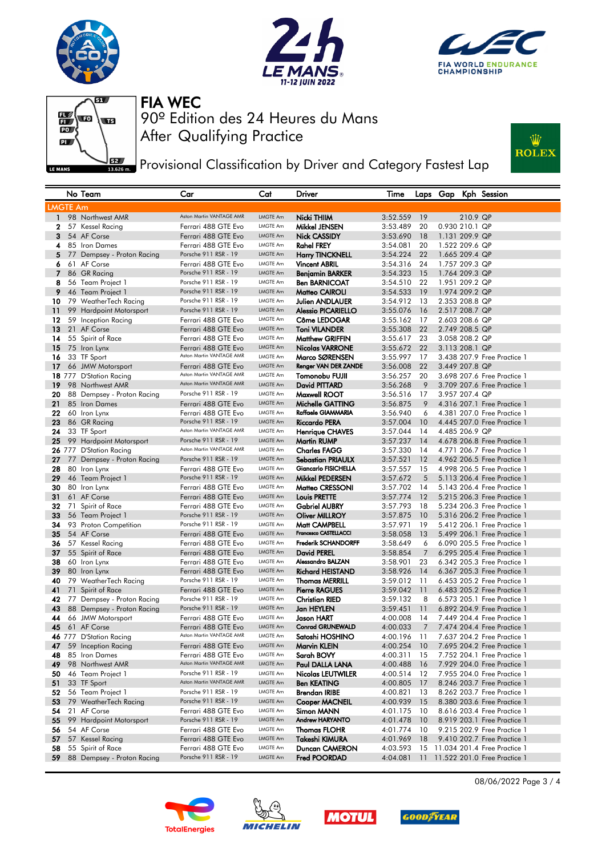







**PEPT** Provisional Classification by Driver and Category Fastest Lap



|                 | No Team                          | Car                                             | Cat                                | Driver                                         | Time                 |          |                | Laps Gap Kph Session                                       |
|-----------------|----------------------------------|-------------------------------------------------|------------------------------------|------------------------------------------------|----------------------|----------|----------------|------------------------------------------------------------|
| <b>LMGTE Am</b> |                                  |                                                 |                                    |                                                |                      |          |                |                                                            |
| $\mathbf{1}$    | 98 Northwest AMR                 | Aston Martin VANTAGE AMR                        | <b>LMGTE Am</b>                    | Nicki THIIM                                    | 3:52.559             | 19       | 210.9 QP       |                                                            |
| 2               | 57 Kessel Racing                 | Ferrari 488 GTE Evo                             | <b>LMGTE Am</b>                    | Mikkel JENSEN                                  | 3:53.489             | 20       | 0.930 210.1 QP |                                                            |
| 3               | 54 AF Corse                      | Ferrari 488 GTE Evo                             | <b>LMGTE Am</b>                    | Nick CASSIDY                                   | 3:53.690             | 18       | 1.131 209.9 QP |                                                            |
| 4               | 85 Iron Dames                    | Ferrari 488 GTE Evo                             | <b>LMGTE Am</b>                    | Rahel FREY                                     | 3:54.081             | 20       | 1.522 209.6 QP |                                                            |
| 5               | 77 Dempsey - Proton Racing       | Porsche 911 RSR - 19                            | <b>LMGTE Am</b>                    | <b>Harry TINCKNELL</b>                         | 3:54.224             | 22       | 1.665 209.4 QP |                                                            |
| 6               | 61 AF Corse                      | Ferrari 488 GTE Evo                             | LMGTE Am                           | <b>Vincent ABRIL</b>                           | 3:54.316             | 24       | 1.757 209.3 QP |                                                            |
| $\overline{7}$  | 86 GR Racing                     | Porsche 911 RSR - 19                            | LMGTE Am                           | Benjamin BARKER                                | 3:54.323             | 15       | 1.764 209.3 QP |                                                            |
| 8               | 56 Team Project 1                | Porsche 911 RSR - 19                            | LMGTE Am                           | <b>Ben BARNICOAT</b>                           | 3:54.510             | 22       | 1.951 209.2 QP |                                                            |
| 9               | 46 Team Project 1                | Porsche 911 RSR - 19                            | LMGTE Am                           | Matteo CAIROLI                                 | 3:54.533             | 19       | 1.974 209.2 QP |                                                            |
| 10              | 79 WeatherTech Racing            | Porsche 911 RSR - 19                            | <b>LMGTE Am</b>                    | <b>Julien ANDLAUER</b>                         | 3:54.912             | 13       | 2.353 208.8 QP |                                                            |
| 11              | 99 Hardpoint Motorsport          | Porsche 911 RSR - 19                            | <b>LMGTE Am</b>                    | <b>Alessio PICARIELLO</b>                      | 3:55.076             | 16       | 2.517 208.7 QP |                                                            |
| 12              | 59 Inception Racing              | Ferrari 488 GTE Evo                             | LMGTE Am                           | Côme LEDOGAR                                   | 3:55.162             | 17       | 2.603 208.6 QP |                                                            |
| 13              | 21 AF Corse                      | Ferrari 488 GTE Evo                             | <b>LMGTE Am</b>                    | <b>Toni VILANDER</b>                           | 3:55.308             | 22       | 2.749 208.5 QP |                                                            |
| 14              | 55 Spirit of Race                | Ferrari 488 GTE Evo                             | <b>LMGTE Am</b>                    | <b>Matthew GRIFFIN</b>                         | 3:55.617             | 23       | 3.058 208.2 QP |                                                            |
| 15              | 75 Iron Lynx                     | Ferrari 488 GTE Evo<br>Aston Martin VANTAGE AMR | <b>LMGTE Am</b>                    | <b>Nicolas VARRONE</b>                         | 3:55.672             | 22       | 3.113 208.1 QP |                                                            |
| 16              | 33 TF Sport                      |                                                 | <b>LMGTE Am</b>                    | Marco SØRENSEN                                 | 3:55.997             | 17       |                | 3.438 207.9 Free Practice 1                                |
| 17              | 66 JMW Motorsport                | Ferrari 488 GTE Evo<br>Aston Martin VANTAGE AMR | LMGTE Am                           | Renger VAN DER ZANDE                           | 3:56.008             | 22       | 3.449 207.8 QP |                                                            |
|                 | 18 777 D'Station Racing          | Aston Martin VANTAGE AMR                        | LMGTE Am                           | Tomonobu FUJII                                 | 3:56.257             | 20       |                | 3.698 207.6 Free Practice 1                                |
| 19              | 98 Northwest AMR                 | Porsche 911 RSR - 19                            | <b>LMGTE Am</b><br><b>LMGTE Am</b> | David PITTARD                                  | 3:56.268             | 9        | 3.957 207.4 QP | 3.709 207.6 Free Practice 1                                |
| 20              | 88 Dempsey - Proton Racing       |                                                 | <b>LMGTE Am</b>                    | <b>Maxwell ROOT</b>                            | 3:56.516             | 17       |                | 4.316 207.1 Free Practice 1                                |
| 21              | 85 Iron Dames                    | Ferrari 488 GTE Evo<br>Ferrari 488 GTE Evo      | LMGTE Am                           | Michelle GATTING<br>Raffaele GIAMMARIA         | 3:56.875             | 9        |                |                                                            |
| 22              | 60 Iron Lynx                     | Porsche 911 RSR - 19                            | <b>LMGTE Am</b>                    |                                                | 3:56.940             | 6<br>10  |                | 4.381 207.0 Free Practice 1<br>4.445 207.0 Free Practice 1 |
| 23<br>24        | 86 GR Racing<br>33 TF Sport      | Aston Martin VANTAGE AMR                        | <b>LMGTE Am</b>                    | <b>Riccardo PERA</b><br><b>Henrique CHAVES</b> | 3:57.004<br>3:57.044 | 14       | 4.485 206.9 QP |                                                            |
| 25              | 99 Hardpoint Motorsport          | Porsche 911 RSR - 19                            | <b>LMGTE Am</b>                    | Martin RUMP                                    | 3:57.237             | 14       |                | 4.678 206.8 Free Practice 1                                |
|                 | 26 777 D'Station Racing          | Aston Martin VANTAGE AMR                        | LMGTE Am                           | <b>Charles FAGG</b>                            | 3:57.330             | 14       |                | 4.771 206.7 Free Practice 1                                |
| 27              | 77 Dempsey - Proton Racing       | Porsche 911 RSR - 19                            | LMGTE Am                           | Sebastian PRIAULX                              | 3:57.521             | 12       |                | 4.962 206.5 Free Practice 1                                |
| 28              | 80 Iron Lynx                     | Ferrari 488 GTE Evo                             | LMGTE Am                           | Giancarlo FISICHELLA                           | 3:57.557             | 15       |                | 4.998 206.5 Free Practice 1                                |
| 29              | 46 Team Project 1                | Porsche 911 RSR - 19                            | LMGTE Am                           | Mikkel PEDERSEN                                | 3:57.672             | 5        |                | 5.113 206.4 Free Practice 1                                |
| 30              | 80 Iron Lynx                     | Ferrari 488 GTE Evo                             | <b>LMGTE Am</b>                    | Matteo CRESSONI                                | 3:57.702             | 14       |                | 5.143 206.4 Free Practice 1                                |
| 31              | 61 AF Corse                      | Ferrari 488 GTE Evo                             | <b>LMGTE Am</b>                    | <b>Louis PRETTE</b>                            | 3:57.774             | 12       |                | 5.215 206.3 Free Practice 1                                |
| 32              | 71 Spirit of Race                | Ferrari 488 GTE Evo                             | LMGTE Am                           | <b>Gabriel AUBRY</b>                           | 3:57.793             | 18       |                | 5.234 206.3 Free Practice 1                                |
| 33              | 56 Team Project 1                | Porsche 911 RSR - 19                            | <b>LMGTE Am</b>                    | <b>Oliver MILLROY</b>                          | 3:57.875             | 10       |                | 5.316 206.2 Free Practice 1                                |
| 34              | 93 Proton Competition            | Porsche 911 RSR - 19                            | <b>LMGTE Am</b>                    | Matt CAMPBELL                                  | 3:57.971             | 19       |                | 5.412 206.1 Free Practice 1                                |
| 35              | 54 AF Corse                      | Ferrari 488 GTE Evo                             | LMGTE Am                           | Francesco CASTELLACCI                          | 3:58.058             | 13       |                | 5.499 206.1 Free Practice 1                                |
| 36              | 57 Kessel Racing                 | Ferrari 488 GTE Evo                             | <b>LMGTE Am</b>                    | <b>Frederik SCHANDORFF</b>                     | 3:58.649             | 6        |                | 6.090 205.5 Free Practice 1                                |
| 37              | 55 Spirit of Race                | Ferrari 488 GTE Evo                             | LMGTE Am                           | <b>David PEREL</b>                             | 3:58.854             | 7        |                | 6.295 205.4 Free Practice 1                                |
| 38              | 60 Iron Lynx                     | Ferrari 488 GTE Evo                             | <b>LMGTE Am</b>                    | Alessandro BALZAN                              | 3:58.901             | 23       |                | 6.342 205.3 Free Practice 1                                |
| 39              | 80 Iron Lynx                     | Ferrari 488 GTE Evo                             | LMGTE Am                           | <b>Richard HEISTAND</b>                        | 3:58.926             | 14       |                | 6.367 205.3 Free Practice 1                                |
| 40              | 79 WeatherTech Racing            | Porsche 911 RSR - 19                            | LMGTE Am                           | Thomas MERRILL                                 | 3:59.012             | 11       |                | 6.453 205.2 Free Practice 1                                |
| 41              | 71 Spirit of Race                | Ferrari 488 GTE Evo                             | <b>LMGTE Am</b>                    | <b>Pierre RAGUES</b>                           | 3:59.042             | 11       |                | 6.483 205.2 Free Practice 1                                |
| 42              | 77 Dempsey - Proton Racing       | Porsche 911 RSR - 19                            | <b>LMGTE Am</b>                    | Christian RIED                                 | 3:59.132             | 8        |                | 6.573 205.1 Free Practice 1                                |
| 43              | 88 Dempsey - Proton Racing       | Porsche 911 RSR - 19                            | <b>LMGTE Am</b>                    | Jan HEYLEN                                     | 3:59.451             | 11       |                | 6.892 204.9 Free Practice 1                                |
| 44              | 66 JMW Motorsport                | Ferrari 488 GTE Evo                             | LMGTE Am                           | Jason HART                                     | 4:00.008             | 14       |                | 7.449 204.4 Free Practice 1                                |
| 45              | 61 AF Corse                      | Ferrari 488 GTE Evo<br>Aston Martin VANTAGE AMR | <b>LMGTE Am</b>                    | <b>Conrad GRUNEWALD</b>                        | 4:00.033             | 7        |                | 7.474 204.4 Free Practice 1                                |
|                 | 46 777 D'Station Racing          |                                                 | LMGTE Am                           | Satoshi HOSHINO                                | 4:00.196             | 11       |                | 7.637 204.2 Free Practice 1                                |
|                 | 59 Inception Racing              | Ferrari 488 GTE Evo                             | LMGTE Am<br>LMGTE Am               | Marvin KLEIN                                   | 4:00.254             | 10       |                | 7.695 204.2 Free Practice 1                                |
| 48<br>49        | 85 Iron Dames                    | Ferrari 488 GTE Evo<br>Aston Martin VANTAGE AMR | LMGTE Am                           | Sarah BOVY<br>Paul DALLA LANA                  | 4:00.311<br>4:00.488 | 15       |                | 7.752 204.1 Free Practice 1                                |
|                 | 98 Northwest AMR                 | Porsche 911 RSR - 19                            | LMGTE Am                           |                                                | 4:00.514             | 16       |                | 7.929 204.0 Free Practice 1                                |
| 50<br>51        | 46 Team Project 1<br>33 TF Sport | Aston Martin VANTAGE AMR                        | <b>LMGTE Am</b>                    | Nicolas LEUTWILER<br><b>Ben KEATING</b>        | 4:00.805             | 12<br>17 |                | 7.955 204.0 Free Practice 1<br>8.246 203.7 Free Practice 1 |
| 52              | 56 Team Project 1                | Porsche 911 RSR - 19                            | LMGTE Am                           | <b>Brendan IRIBE</b>                           | 4:00.821             | 13       |                | 8.262 203.7 Free Practice 1                                |
| 53              | 79 WeatherTech Racing            | Porsche 911 RSR - 19                            | <b>LMGTE Am</b>                    | Cooper MACNEIL                                 | 4:00.939             | 15       |                | 8.380 203.6 Free Practice 1                                |
| 54              | 21 AF Corse                      | Ferrari 488 GTE Evo                             | LMGTE Am                           | Simon MANN                                     | 4:01.175             | 10       |                | 8.616 203.4 Free Practice 1                                |
| 55              | 99 Hardpoint Motorsport          | Porsche 911 RSR - 19                            | LMGTE Am                           | <b>Andrew HARYANTO</b>                         | 4:01.478             | 10       |                | 8.919 203.1 Free Practice 1                                |
| 56              | 54 AF Corse                      | Ferrari 488 GTE Evo                             | LMGTE Am                           | Thomas FLOHR                                   | 4:01.774             | 10       |                | 9.215 202.9 Free Practice 1                                |
| 57              | 57 Kessel Racing                 | Ferrari 488 GTE Evo                             | LMGTE Am                           | Takeshi KIMURA                                 | 4:01.969             | 18       |                | 9.410 202.7 Free Practice 1                                |
| 58              | 55 Spirit of Race                | Ferrari 488 GTE Evo                             | LMGTE Am                           | Duncan CAMERON                                 | 4:03.593             | 15       |                | 11.034 201.4 Free Practice 1                               |
| 59              | 88 Dempsey - Proton Racing       | Porsche 911 RSR - 19                            | LMGTE Am                           | <b>Fred POORDAD</b>                            | 4:04.081             | 11       |                | 11.522 201.0 Free Practice 1                               |
|                 |                                  |                                                 |                                    |                                                |                      |          |                |                                                            |









08/06/2022 Page 3 / 4